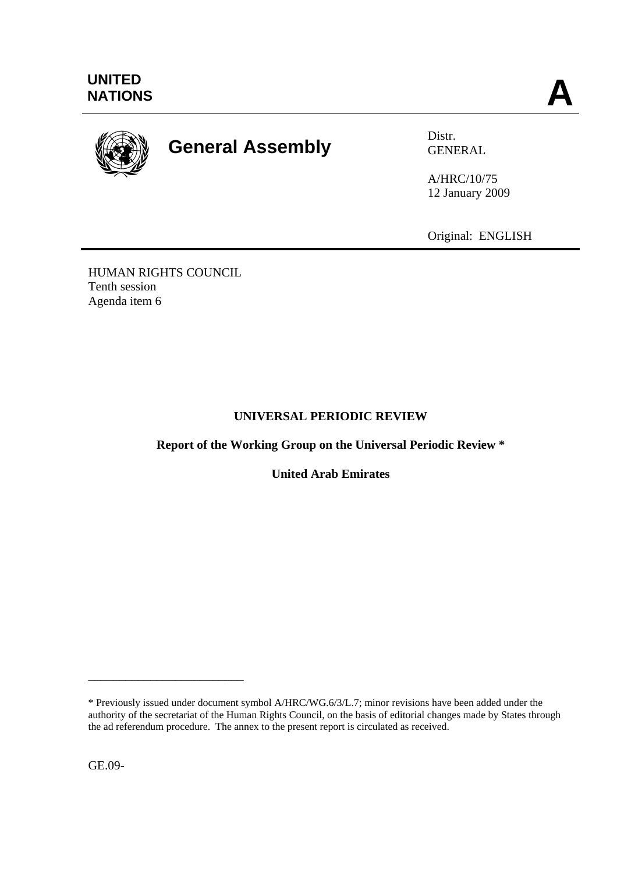

# **General Assembly** Distr.

GENERAL

A/HRC/10/75 12 January 2009

Original: ENGLISH

HUMAN RIGHTS COUNCIL Tenth session Agenda item 6

# **UNIVERSAL PERIODIC REVIEW**

**Report of the Working Group on the Universal Periodic Review \*** 

**United Arab Emirates** 

GE.09-

\_\_\_\_\_\_\_\_\_\_\_\_\_\_\_\_\_\_\_\_\_\_\_\_\_

<sup>\*</sup> Previously issued under document symbol A/HRC/WG.6/3/L.7; minor revisions have been added under the authority of the secretariat of the Human Rights Council, on the basis of editorial changes made by States through the ad referendum procedure. The annex to the present report is circulated as received.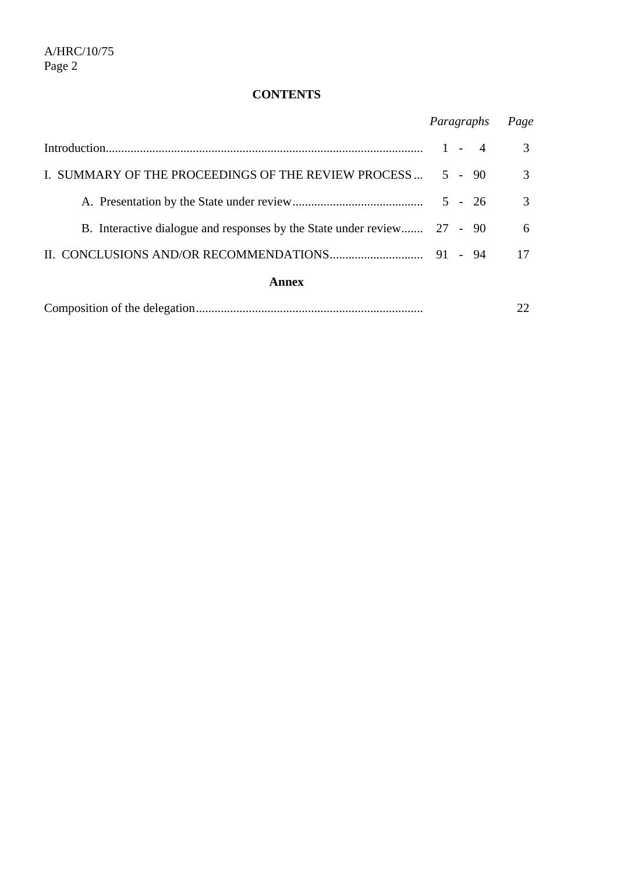# **CONTENTS**

|                                                                         | Paragraphs |  |  | Page          |
|-------------------------------------------------------------------------|------------|--|--|---------------|
|                                                                         | $1 - 4$    |  |  | 3             |
| I. SUMMARY OF THE PROCEEDINGS OF THE REVIEW PROCESS  5 - 90             |            |  |  | $\mathcal{R}$ |
|                                                                         |            |  |  | 3             |
| B. Interactive dialogue and responses by the State under review 27 - 90 |            |  |  | 6             |
|                                                                         |            |  |  | 17            |
| Annex                                                                   |            |  |  |               |

|--|--|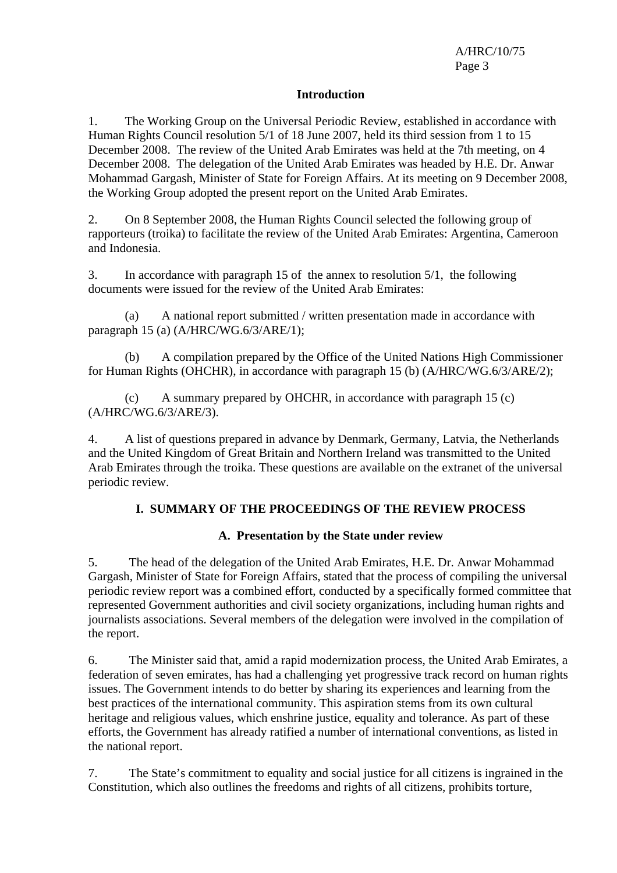#### **Introduction**

1. The Working Group on the Universal Periodic Review, established in accordance with Human Rights Council resolution 5/1 of 18 June 2007, held its third session from 1 to 15 December 2008. The review of the United Arab Emirates was held at the 7th meeting, on 4 December 2008. The delegation of the United Arab Emirates was headed by H.E. Dr. Anwar Mohammad Gargash, Minister of State for Foreign Affairs. At its meeting on 9 December 2008, the Working Group adopted the present report on the United Arab Emirates.

2. On 8 September 2008, the Human Rights Council selected the following group of rapporteurs (troika) to facilitate the review of the United Arab Emirates: Argentina, Cameroon and Indonesia.

3. In accordance with paragraph 15 of the annex to resolution 5/1, the following documents were issued for the review of the United Arab Emirates:

 (a) A national report submitted / written presentation made in accordance with paragraph 15 (a) (A/HRC/WG.6/3/ARE/1);

 (b) A compilation prepared by the Office of the United Nations High Commissioner for Human Rights (OHCHR), in accordance with paragraph 15 (b) (A/HRC/WG.6/3/ARE/2);

 (c) A summary prepared by OHCHR, in accordance with paragraph 15 (c) (A/HRC/WG.6/3/ARE/3).

4. A list of questions prepared in advance by Denmark, Germany, Latvia, the Netherlands and the United Kingdom of Great Britain and Northern Ireland was transmitted to the United Arab Emirates through the troika. These questions are available on the extranet of the universal periodic review.

## **I. SUMMARY OF THE PROCEEDINGS OF THE REVIEW PROCESS**

## **A. Presentation by the State under review**

5. The head of the delegation of the United Arab Emirates, H.E. Dr. Anwar Mohammad Gargash, Minister of State for Foreign Affairs, stated that the process of compiling the universal periodic review report was a combined effort, conducted by a specifically formed committee that represented Government authorities and civil society organizations, including human rights and journalists associations. Several members of the delegation were involved in the compilation of the report.

6. The Minister said that, amid a rapid modernization process, the United Arab Emirates, a federation of seven emirates, has had a challenging yet progressive track record on human rights issues. The Government intends to do better by sharing its experiences and learning from the best practices of the international community. This aspiration stems from its own cultural heritage and religious values, which enshrine justice, equality and tolerance. As part of these efforts, the Government has already ratified a number of international conventions, as listed in the national report.

7. The State's commitment to equality and social justice for all citizens is ingrained in the Constitution, which also outlines the freedoms and rights of all citizens, prohibits torture,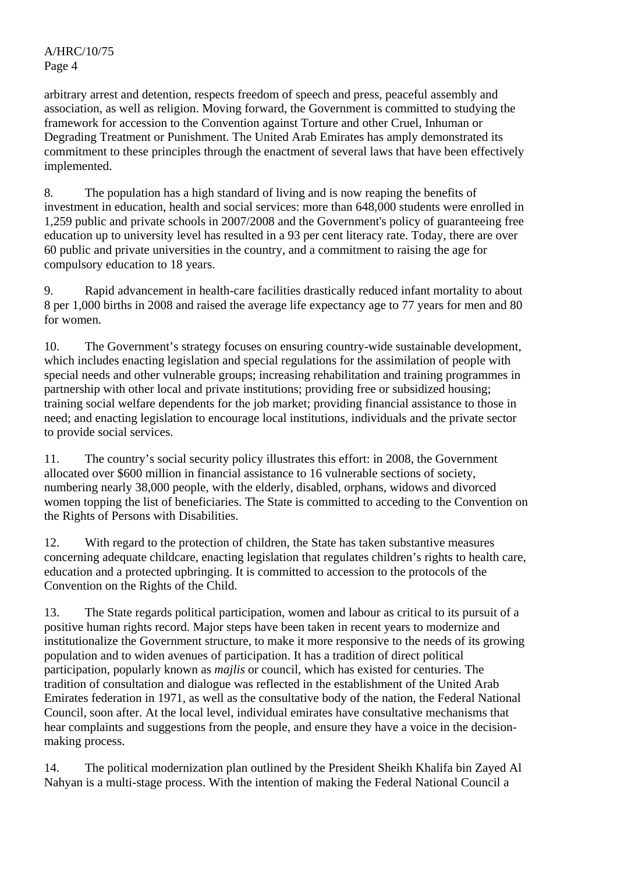arbitrary arrest and detention, respects freedom of speech and press, peaceful assembly and association, as well as religion. Moving forward, the Government is committed to studying the framework for accession to the Convention against Torture and other Cruel, Inhuman or Degrading Treatment or Punishment. The United Arab Emirates has amply demonstrated its commitment to these principles through the enactment of several laws that have been effectively implemented.

8. The population has a high standard of living and is now reaping the benefits of investment in education, health and social services: more than 648,000 students were enrolled in 1,259 public and private schools in 2007/2008 and the Government's policy of guaranteeing free education up to university level has resulted in a 93 per cent literacy rate. Today, there are over 60 public and private universities in the country, and a commitment to raising the age for compulsory education to 18 years.

9. Rapid advancement in health-care facilities drastically reduced infant mortality to about 8 per 1,000 births in 2008 and raised the average life expectancy age to 77 years for men and 80 for women.

10. The Government's strategy focuses on ensuring country-wide sustainable development, which includes enacting legislation and special regulations for the assimilation of people with special needs and other vulnerable groups; increasing rehabilitation and training programmes in partnership with other local and private institutions; providing free or subsidized housing; training social welfare dependents for the job market; providing financial assistance to those in need; and enacting legislation to encourage local institutions, individuals and the private sector to provide social services.

11. The country's social security policy illustrates this effort: in 2008, the Government allocated over \$600 million in financial assistance to 16 vulnerable sections of society, numbering nearly 38,000 people, with the elderly, disabled, orphans, widows and divorced women topping the list of beneficiaries. The State is committed to acceding to the Convention on the Rights of Persons with Disabilities.

12. With regard to the protection of children, the State has taken substantive measures concerning adequate childcare, enacting legislation that regulates children's rights to health care, education and a protected upbringing. It is committed to accession to the protocols of the Convention on the Rights of the Child.

13. The State regards political participation, women and labour as critical to its pursuit of a positive human rights record. Major steps have been taken in recent years to modernize and institutionalize the Government structure, to make it more responsive to the needs of its growing population and to widen avenues of participation. It has a tradition of direct political participation, popularly known as *majlis* or council, which has existed for centuries. The tradition of consultation and dialogue was reflected in the establishment of the United Arab Emirates federation in 1971, as well as the consultative body of the nation, the Federal National Council, soon after. At the local level, individual emirates have consultative mechanisms that hear complaints and suggestions from the people, and ensure they have a voice in the decisionmaking process.

14. The political modernization plan outlined by the President Sheikh Khalifa bin Zayed Al Nahyan is a multi-stage process. With the intention of making the Federal National Council a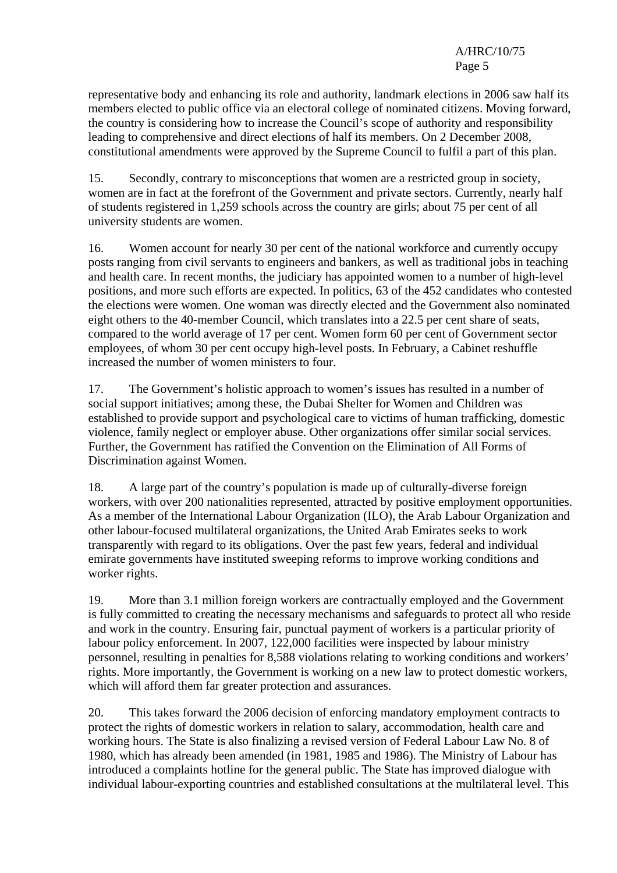A/HRC/10/75 Page 5

representative body and enhancing its role and authority, landmark elections in 2006 saw half its members elected to public office via an electoral college of nominated citizens. Moving forward, the country is considering how to increase the Council's scope of authority and responsibility leading to comprehensive and direct elections of half its members. On 2 December 2008, constitutional amendments were approved by the Supreme Council to fulfil a part of this plan.

15. Secondly, contrary to misconceptions that women are a restricted group in society, women are in fact at the forefront of the Government and private sectors. Currently, nearly half of students registered in 1,259 schools across the country are girls; about 75 per cent of all university students are women.

16. Women account for nearly 30 per cent of the national workforce and currently occupy posts ranging from civil servants to engineers and bankers, as well as traditional jobs in teaching and health care. In recent months, the judiciary has appointed women to a number of high-level positions, and more such efforts are expected. In politics, 63 of the 452 candidates who contested the elections were women. One woman was directly elected and the Government also nominated eight others to the 40-member Council, which translates into a 22.5 per cent share of seats, compared to the world average of 17 per cent. Women form 60 per cent of Government sector employees, of whom 30 per cent occupy high-level posts. In February, a Cabinet reshuffle increased the number of women ministers to four.

17. The Government's holistic approach to women's issues has resulted in a number of social support initiatives; among these, the Dubai Shelter for Women and Children was established to provide support and psychological care to victims of human trafficking, domestic violence, family neglect or employer abuse. Other organizations offer similar social services. Further, the Government has ratified the Convention on the Elimination of All Forms of Discrimination against Women.

18. A large part of the country's population is made up of culturally-diverse foreign workers, with over 200 nationalities represented, attracted by positive employment opportunities. As a member of the International Labour Organization (ILO), the Arab Labour Organization and other labour-focused multilateral organizations, the United Arab Emirates seeks to work transparently with regard to its obligations. Over the past few years, federal and individual emirate governments have instituted sweeping reforms to improve working conditions and worker rights.

19. More than 3.1 million foreign workers are contractually employed and the Government is fully committed to creating the necessary mechanisms and safeguards to protect all who reside and work in the country. Ensuring fair, punctual payment of workers is a particular priority of labour policy enforcement. In 2007, 122,000 facilities were inspected by labour ministry personnel, resulting in penalties for 8,588 violations relating to working conditions and workers' rights. More importantly, the Government is working on a new law to protect domestic workers, which will afford them far greater protection and assurances.

20. This takes forward the 2006 decision of enforcing mandatory employment contracts to protect the rights of domestic workers in relation to salary, accommodation, health care and working hours. The State is also finalizing a revised version of Federal Labour Law No. 8 of 1980, which has already been amended (in 1981, 1985 and 1986). The Ministry of Labour has introduced a complaints hotline for the general public. The State has improved dialogue with individual labour-exporting countries and established consultations at the multilateral level. This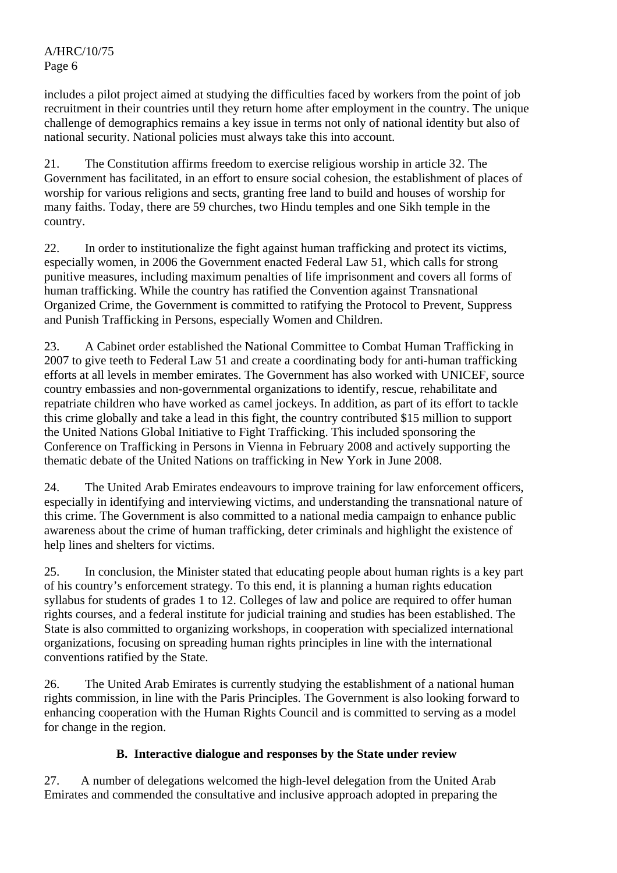includes a pilot project aimed at studying the difficulties faced by workers from the point of job recruitment in their countries until they return home after employment in the country. The unique challenge of demographics remains a key issue in terms not only of national identity but also of national security. National policies must always take this into account.

21. The Constitution affirms freedom to exercise religious worship in article 32. The Government has facilitated, in an effort to ensure social cohesion, the establishment of places of worship for various religions and sects, granting free land to build and houses of worship for many faiths. Today, there are 59 churches, two Hindu temples and one Sikh temple in the country.

22. In order to institutionalize the fight against human trafficking and protect its victims, especially women, in 2006 the Government enacted Federal Law 51, which calls for strong punitive measures, including maximum penalties of life imprisonment and covers all forms of human trafficking. While the country has ratified the Convention against Transnational Organized Crime, the Government is committed to ratifying the Protocol to Prevent, Suppress and Punish Trafficking in Persons, especially Women and Children.

23. A Cabinet order established the National Committee to Combat Human Trafficking in 2007 to give teeth to Federal Law 51 and create a coordinating body for anti-human trafficking efforts at all levels in member emirates. The Government has also worked with UNICEF, source country embassies and non-governmental organizations to identify, rescue, rehabilitate and repatriate children who have worked as camel jockeys. In addition, as part of its effort to tackle this crime globally and take a lead in this fight, the country contributed \$15 million to support the United Nations Global Initiative to Fight Trafficking. This included sponsoring the Conference on Trafficking in Persons in Vienna in February 2008 and actively supporting the thematic debate of the United Nations on trafficking in New York in June 2008.

24. The United Arab Emirates endeavours to improve training for law enforcement officers, especially in identifying and interviewing victims, and understanding the transnational nature of this crime. The Government is also committed to a national media campaign to enhance public awareness about the crime of human trafficking, deter criminals and highlight the existence of help lines and shelters for victims.

25. In conclusion, the Minister stated that educating people about human rights is a key part of his country's enforcement strategy. To this end, it is planning a human rights education syllabus for students of grades 1 to 12. Colleges of law and police are required to offer human rights courses, and a federal institute for judicial training and studies has been established. The State is also committed to organizing workshops, in cooperation with specialized international organizations, focusing on spreading human rights principles in line with the international conventions ratified by the State.

26. The United Arab Emirates is currently studying the establishment of a national human rights commission, in line with the Paris Principles. The Government is also looking forward to enhancing cooperation with the Human Rights Council and is committed to serving as a model for change in the region.

# **B. Interactive dialogue and responses by the State under review**

27. A number of delegations welcomed the high-level delegation from the United Arab Emirates and commended the consultative and inclusive approach adopted in preparing the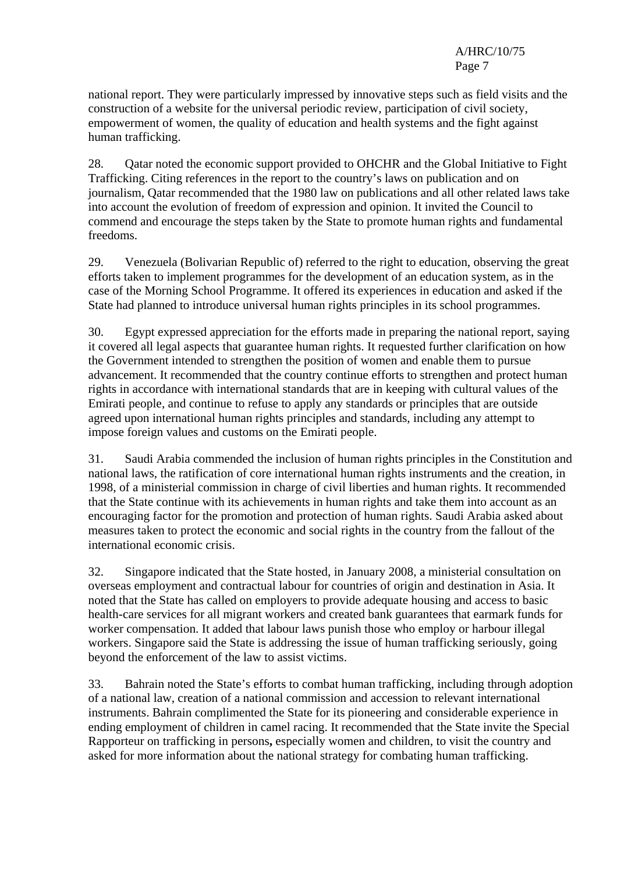national report. They were particularly impressed by innovative steps such as field visits and the construction of a website for the universal periodic review, participation of civil society, empowerment of women, the quality of education and health systems and the fight against human trafficking.

28. Qatar noted the economic support provided to OHCHR and the Global Initiative to Fight Trafficking. Citing references in the report to the country's laws on publication and on journalism, Qatar recommended that the 1980 law on publications and all other related laws take into account the evolution of freedom of expression and opinion. It invited the Council to commend and encourage the steps taken by the State to promote human rights and fundamental freedoms.

29. Venezuela (Bolivarian Republic of) referred to the right to education, observing the great efforts taken to implement programmes for the development of an education system, as in the case of the Morning School Programme. It offered its experiences in education and asked if the State had planned to introduce universal human rights principles in its school programmes.

30. Egypt expressed appreciation for the efforts made in preparing the national report, saying it covered all legal aspects that guarantee human rights. It requested further clarification on how the Government intended to strengthen the position of women and enable them to pursue advancement. It recommended that the country continue efforts to strengthen and protect human rights in accordance with international standards that are in keeping with cultural values of the Emirati people, and continue to refuse to apply any standards or principles that are outside agreed upon international human rights principles and standards, including any attempt to impose foreign values and customs on the Emirati people.

31. Saudi Arabia commended the inclusion of human rights principles in the Constitution and national laws, the ratification of core international human rights instruments and the creation, in 1998, of a ministerial commission in charge of civil liberties and human rights. It recommended that the State continue with its achievements in human rights and take them into account as an encouraging factor for the promotion and protection of human rights. Saudi Arabia asked about measures taken to protect the economic and social rights in the country from the fallout of the international economic crisis.

32. Singapore indicated that the State hosted, in January 2008, a ministerial consultation on overseas employment and contractual labour for countries of origin and destination in Asia. It noted that the State has called on employers to provide adequate housing and access to basic health-care services for all migrant workers and created bank guarantees that earmark funds for worker compensation. It added that labour laws punish those who employ or harbour illegal workers. Singapore said the State is addressing the issue of human trafficking seriously, going beyond the enforcement of the law to assist victims.

33. Bahrain noted the State's efforts to combat human trafficking, including through adoption of a national law, creation of a national commission and accession to relevant international instruments. Bahrain complimented the State for its pioneering and considerable experience in ending employment of children in camel racing. It recommended that the State invite the Special Rapporteur on trafficking in persons**,** especially women and children, to visit the country and asked for more information about the national strategy for combating human trafficking.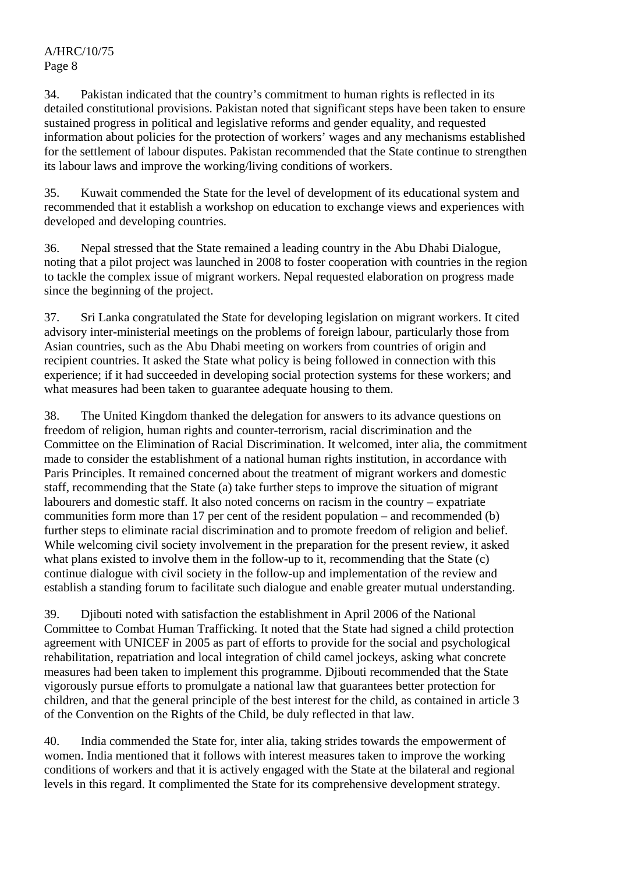# A/HRC/10/75 Page 8

34. Pakistan indicated that the country's commitment to human rights is reflected in its detailed constitutional provisions. Pakistan noted that significant steps have been taken to ensure sustained progress in political and legislative reforms and gender equality, and requested information about policies for the protection of workers' wages and any mechanisms established for the settlement of labour disputes. Pakistan recommended that the State continue to strengthen its labour laws and improve the working/living conditions of workers.

35. Kuwait commended the State for the level of development of its educational system and recommended that it establish a workshop on education to exchange views and experiences with developed and developing countries.

36. Nepal stressed that the State remained a leading country in the Abu Dhabi Dialogue, noting that a pilot project was launched in 2008 to foster cooperation with countries in the region to tackle the complex issue of migrant workers. Nepal requested elaboration on progress made since the beginning of the project.

37. Sri Lanka congratulated the State for developing legislation on migrant workers. It cited advisory inter-ministerial meetings on the problems of foreign labour, particularly those from Asian countries, such as the Abu Dhabi meeting on workers from countries of origin and recipient countries. It asked the State what policy is being followed in connection with this experience; if it had succeeded in developing social protection systems for these workers; and what measures had been taken to guarantee adequate housing to them.

38. The United Kingdom thanked the delegation for answers to its advance questions on freedom of religion, human rights and counter-terrorism, racial discrimination and the Committee on the Elimination of Racial Discrimination. It welcomed, inter alia, the commitment made to consider the establishment of a national human rights institution, in accordance with Paris Principles. It remained concerned about the treatment of migrant workers and domestic staff, recommending that the State (a) take further steps to improve the situation of migrant labourers and domestic staff. It also noted concerns on racism in the country – expatriate communities form more than 17 per cent of the resident population – and recommended (b) further steps to eliminate racial discrimination and to promote freedom of religion and belief. While welcoming civil society involvement in the preparation for the present review, it asked what plans existed to involve them in the follow-up to it, recommending that the State (c) continue dialogue with civil society in the follow-up and implementation of the review and establish a standing forum to facilitate such dialogue and enable greater mutual understanding.

39. Djibouti noted with satisfaction the establishment in April 2006 of the National Committee to Combat Human Trafficking. It noted that the State had signed a child protection agreement with UNICEF in 2005 as part of efforts to provide for the social and psychological rehabilitation, repatriation and local integration of child camel jockeys, asking what concrete measures had been taken to implement this programme. Djibouti recommended that the State vigorously pursue efforts to promulgate a national law that guarantees better protection for children, and that the general principle of the best interest for the child, as contained in article 3 of the Convention on the Rights of the Child, be duly reflected in that law.

40. India commended the State for, inter alia, taking strides towards the empowerment of women. India mentioned that it follows with interest measures taken to improve the working conditions of workers and that it is actively engaged with the State at the bilateral and regional levels in this regard. It complimented the State for its comprehensive development strategy.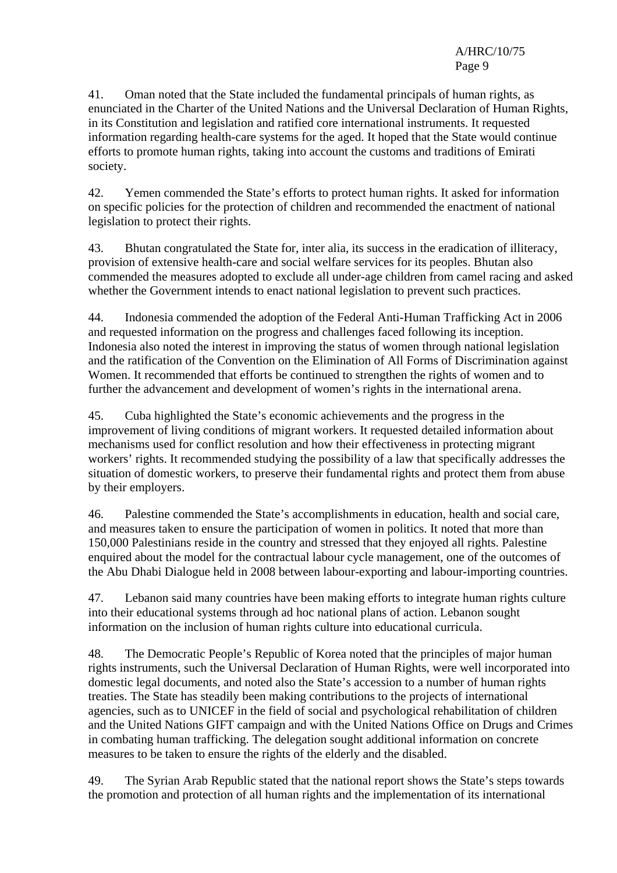41. Oman noted that the State included the fundamental principals of human rights, as enunciated in the Charter of the United Nations and the Universal Declaration of Human Rights, in its Constitution and legislation and ratified core international instruments. It requested information regarding health-care systems for the aged. It hoped that the State would continue efforts to promote human rights, taking into account the customs and traditions of Emirati society.

42. Yemen commended the State's efforts to protect human rights. It asked for information on specific policies for the protection of children and recommended the enactment of national legislation to protect their rights.

43. Bhutan congratulated the State for, inter alia, its success in the eradication of illiteracy, provision of extensive health-care and social welfare services for its peoples. Bhutan also commended the measures adopted to exclude all under-age children from camel racing and asked whether the Government intends to enact national legislation to prevent such practices.

44. Indonesia commended the adoption of the Federal Anti-Human Trafficking Act in 2006 and requested information on the progress and challenges faced following its inception. Indonesia also noted the interest in improving the status of women through national legislation and the ratification of the Convention on the Elimination of All Forms of Discrimination against Women. It recommended that efforts be continued to strengthen the rights of women and to further the advancement and development of women's rights in the international arena.

45. Cuba highlighted the State's economic achievements and the progress in the improvement of living conditions of migrant workers. It requested detailed information about mechanisms used for conflict resolution and how their effectiveness in protecting migrant workers' rights. It recommended studying the possibility of a law that specifically addresses the situation of domestic workers, to preserve their fundamental rights and protect them from abuse by their employers.

46. Palestine commended the State's accomplishments in education, health and social care, and measures taken to ensure the participation of women in politics. It noted that more than 150,000 Palestinians reside in the country and stressed that they enjoyed all rights. Palestine enquired about the model for the contractual labour cycle management, one of the outcomes of the Abu Dhabi Dialogue held in 2008 between labour-exporting and labour-importing countries.

47. Lebanon said many countries have been making efforts to integrate human rights culture into their educational systems through ad hoc national plans of action. Lebanon sought information on the inclusion of human rights culture into educational curricula.

48. The Democratic People's Republic of Korea noted that the principles of major human rights instruments, such the Universal Declaration of Human Rights, were well incorporated into domestic legal documents, and noted also the State's accession to a number of human rights treaties. The State has steadily been making contributions to the projects of international agencies, such as to UNICEF in the field of social and psychological rehabilitation of children and the United Nations GIFT campaign and with the United Nations Office on Drugs and Crimes in combating human trafficking. The delegation sought additional information on concrete measures to be taken to ensure the rights of the elderly and the disabled.

49. The Syrian Arab Republic stated that the national report shows the State's steps towards the promotion and protection of all human rights and the implementation of its international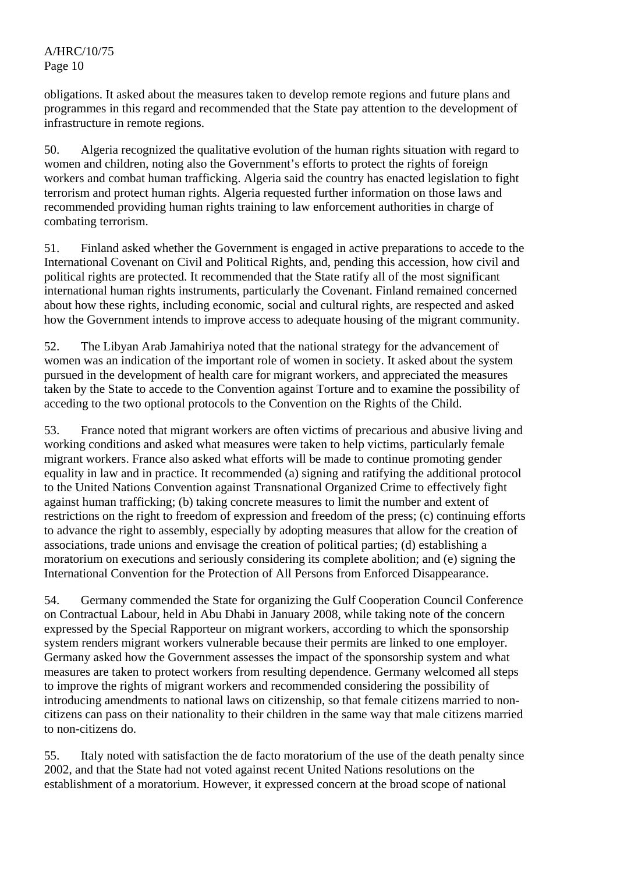obligations. It asked about the measures taken to develop remote regions and future plans and programmes in this regard and recommended that the State pay attention to the development of infrastructure in remote regions.

50. Algeria recognized the qualitative evolution of the human rights situation with regard to women and children, noting also the Government's efforts to protect the rights of foreign workers and combat human trafficking. Algeria said the country has enacted legislation to fight terrorism and protect human rights. Algeria requested further information on those laws and recommended providing human rights training to law enforcement authorities in charge of combating terrorism.

51. Finland asked whether the Government is engaged in active preparations to accede to the International Covenant on Civil and Political Rights, and, pending this accession, how civil and political rights are protected. It recommended that the State ratify all of the most significant international human rights instruments, particularly the Covenant. Finland remained concerned about how these rights, including economic, social and cultural rights, are respected and asked how the Government intends to improve access to adequate housing of the migrant community.

52. The Libyan Arab Jamahiriya noted that the national strategy for the advancement of women was an indication of the important role of women in society. It asked about the system pursued in the development of health care for migrant workers, and appreciated the measures taken by the State to accede to the Convention against Torture and to examine the possibility of acceding to the two optional protocols to the Convention on the Rights of the Child.

53. France noted that migrant workers are often victims of precarious and abusive living and working conditions and asked what measures were taken to help victims, particularly female migrant workers. France also asked what efforts will be made to continue promoting gender equality in law and in practice. It recommended (a) signing and ratifying the additional protocol to the United Nations Convention against Transnational Organized Crime to effectively fight against human trafficking; (b) taking concrete measures to limit the number and extent of restrictions on the right to freedom of expression and freedom of the press; (c) continuing efforts to advance the right to assembly, especially by adopting measures that allow for the creation of associations, trade unions and envisage the creation of political parties; (d) establishing a moratorium on executions and seriously considering its complete abolition; and (e) signing the International Convention for the Protection of All Persons from Enforced Disappearance.

54. Germany commended the State for organizing the Gulf Cooperation Council Conference on Contractual Labour, held in Abu Dhabi in January 2008, while taking note of the concern expressed by the Special Rapporteur on migrant workers, according to which the sponsorship system renders migrant workers vulnerable because their permits are linked to one employer. Germany asked how the Government assesses the impact of the sponsorship system and what measures are taken to protect workers from resulting dependence. Germany welcomed all steps to improve the rights of migrant workers and recommended considering the possibility of introducing amendments to national laws on citizenship, so that female citizens married to noncitizens can pass on their nationality to their children in the same way that male citizens married to non-citizens do.

55. Italy noted with satisfaction the de facto moratorium of the use of the death penalty since 2002, and that the State had not voted against recent United Nations resolutions on the establishment of a moratorium. However, it expressed concern at the broad scope of national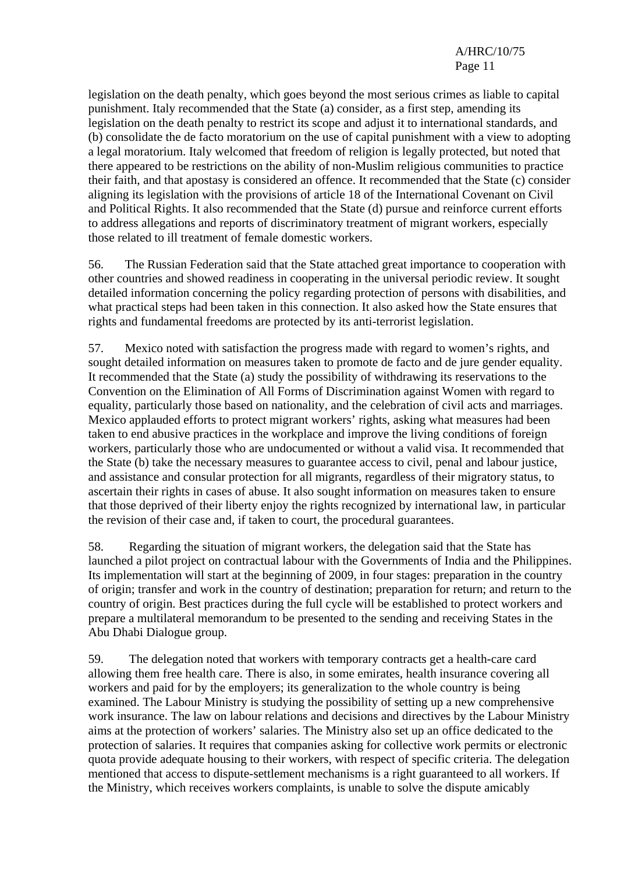legislation on the death penalty, which goes beyond the most serious crimes as liable to capital punishment. Italy recommended that the State (a) consider, as a first step, amending its legislation on the death penalty to restrict its scope and adjust it to international standards, and (b) consolidate the de facto moratorium on the use of capital punishment with a view to adopting a legal moratorium. Italy welcomed that freedom of religion is legally protected, but noted that there appeared to be restrictions on the ability of non-Muslim religious communities to practice their faith, and that apostasy is considered an offence. It recommended that the State (c) consider aligning its legislation with the provisions of article 18 of the International Covenant on Civil and Political Rights. It also recommended that the State (d) pursue and reinforce current efforts to address allegations and reports of discriminatory treatment of migrant workers, especially those related to ill treatment of female domestic workers.

56. The Russian Federation said that the State attached great importance to cooperation with other countries and showed readiness in cooperating in the universal periodic review. It sought detailed information concerning the policy regarding protection of persons with disabilities, and what practical steps had been taken in this connection. It also asked how the State ensures that rights and fundamental freedoms are protected by its anti-terrorist legislation.

57. Mexico noted with satisfaction the progress made with regard to women's rights, and sought detailed information on measures taken to promote de facto and de jure gender equality. It recommended that the State (a) study the possibility of withdrawing its reservations to the Convention on the Elimination of All Forms of Discrimination against Women with regard to equality, particularly those based on nationality, and the celebration of civil acts and marriages. Mexico applauded efforts to protect migrant workers' rights, asking what measures had been taken to end abusive practices in the workplace and improve the living conditions of foreign workers, particularly those who are undocumented or without a valid visa. It recommended that the State (b) take the necessary measures to guarantee access to civil, penal and labour justice, and assistance and consular protection for all migrants, regardless of their migratory status, to ascertain their rights in cases of abuse. It also sought information on measures taken to ensure that those deprived of their liberty enjoy the rights recognized by international law, in particular the revision of their case and, if taken to court, the procedural guarantees.

58. Regarding the situation of migrant workers, the delegation said that the State has launched a pilot project on contractual labour with the Governments of India and the Philippines. Its implementation will start at the beginning of 2009, in four stages: preparation in the country of origin; transfer and work in the country of destination; preparation for return; and return to the country of origin. Best practices during the full cycle will be established to protect workers and prepare a multilateral memorandum to be presented to the sending and receiving States in the Abu Dhabi Dialogue group.

59. The delegation noted that workers with temporary contracts get a health-care card allowing them free health care. There is also, in some emirates, health insurance covering all workers and paid for by the employers; its generalization to the whole country is being examined. The Labour Ministry is studying the possibility of setting up a new comprehensive work insurance. The law on labour relations and decisions and directives by the Labour Ministry aims at the protection of workers' salaries. The Ministry also set up an office dedicated to the protection of salaries. It requires that companies asking for collective work permits or electronic quota provide adequate housing to their workers, with respect of specific criteria. The delegation mentioned that access to dispute-settlement mechanisms is a right guaranteed to all workers. If the Ministry, which receives workers complaints, is unable to solve the dispute amicably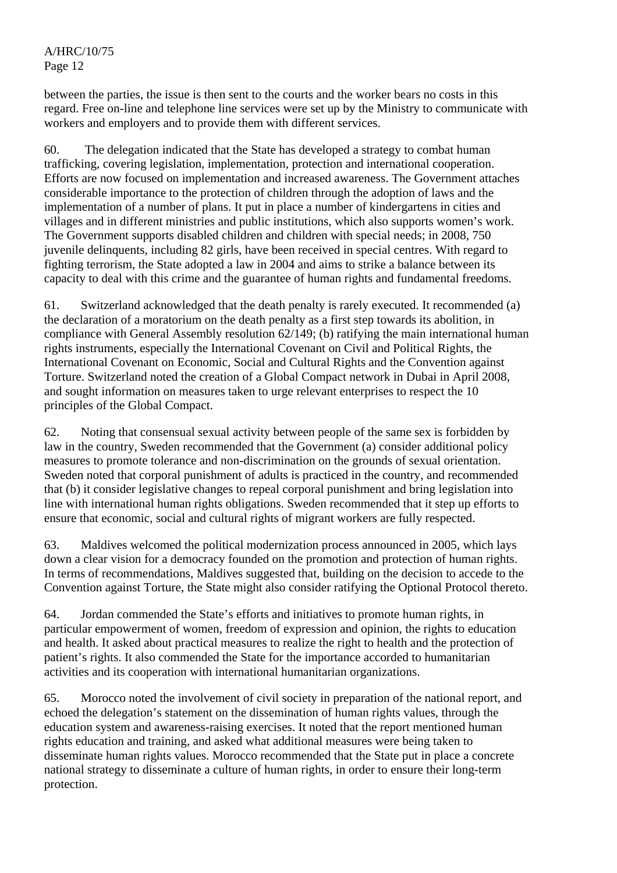A/HRC/10/75 Page 12

between the parties, the issue is then sent to the courts and the worker bears no costs in this regard. Free on-line and telephone line services were set up by the Ministry to communicate with workers and employers and to provide them with different services.

60. The delegation indicated that the State has developed a strategy to combat human trafficking, covering legislation, implementation, protection and international cooperation. Efforts are now focused on implementation and increased awareness. The Government attaches considerable importance to the protection of children through the adoption of laws and the implementation of a number of plans. It put in place a number of kindergartens in cities and villages and in different ministries and public institutions, which also supports women's work. The Government supports disabled children and children with special needs; in 2008, 750 juvenile delinquents, including 82 girls, have been received in special centres. With regard to fighting terrorism, the State adopted a law in 2004 and aims to strike a balance between its capacity to deal with this crime and the guarantee of human rights and fundamental freedoms.

61. Switzerland acknowledged that the death penalty is rarely executed. It recommended (a) the declaration of a moratorium on the death penalty as a first step towards its abolition, in compliance with General Assembly resolution 62/149; (b) ratifying the main international human rights instruments, especially the International Covenant on Civil and Political Rights, the International Covenant on Economic, Social and Cultural Rights and the Convention against Torture. Switzerland noted the creation of a Global Compact network in Dubai in April 2008, and sought information on measures taken to urge relevant enterprises to respect the 10 principles of the Global Compact.

62. Noting that consensual sexual activity between people of the same sex is forbidden by law in the country, Sweden recommended that the Government (a) consider additional policy measures to promote tolerance and non-discrimination on the grounds of sexual orientation. Sweden noted that corporal punishment of adults is practiced in the country, and recommended that (b) it consider legislative changes to repeal corporal punishment and bring legislation into line with international human rights obligations. Sweden recommended that it step up efforts to ensure that economic, social and cultural rights of migrant workers are fully respected.

63. Maldives welcomed the political modernization process announced in 2005, which lays down a clear vision for a democracy founded on the promotion and protection of human rights. In terms of recommendations, Maldives suggested that, building on the decision to accede to the Convention against Torture, the State might also consider ratifying the Optional Protocol thereto.

64. Jordan commended the State's efforts and initiatives to promote human rights, in particular empowerment of women, freedom of expression and opinion, the rights to education and health. It asked about practical measures to realize the right to health and the protection of patient's rights. It also commended the State for the importance accorded to humanitarian activities and its cooperation with international humanitarian organizations.

65. Morocco noted the involvement of civil society in preparation of the national report, and echoed the delegation's statement on the dissemination of human rights values, through the education system and awareness-raising exercises. It noted that the report mentioned human rights education and training, and asked what additional measures were being taken to disseminate human rights values. Morocco recommended that the State put in place a concrete national strategy to disseminate a culture of human rights, in order to ensure their long-term protection.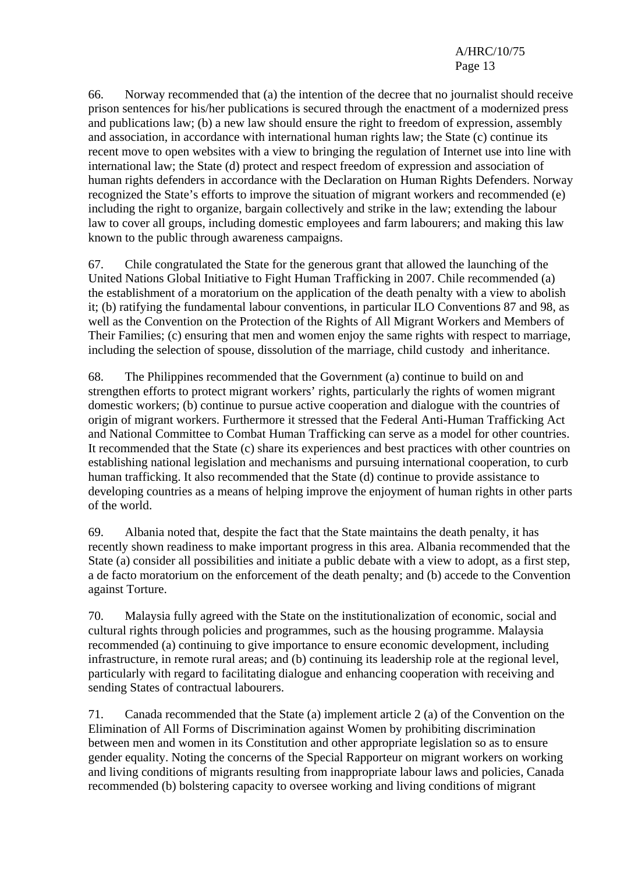66. Norway recommended that (a) the intention of the decree that no journalist should receive prison sentences for his/her publications is secured through the enactment of a modernized press and publications law; (b) a new law should ensure the right to freedom of expression, assembly and association, in accordance with international human rights law; the State (c) continue its recent move to open websites with a view to bringing the regulation of Internet use into line with international law; the State (d) protect and respect freedom of expression and association of human rights defenders in accordance with the Declaration on Human Rights Defenders. Norway recognized the State's efforts to improve the situation of migrant workers and recommended (e) including the right to organize, bargain collectively and strike in the law; extending the labour law to cover all groups, including domestic employees and farm labourers; and making this law known to the public through awareness campaigns.

67. Chile congratulated the State for the generous grant that allowed the launching of the United Nations Global Initiative to Fight Human Trafficking in 2007. Chile recommended (a) the establishment of a moratorium on the application of the death penalty with a view to abolish it; (b) ratifying the fundamental labour conventions, in particular ILO Conventions 87 and 98, as well as the Convention on the Protection of the Rights of All Migrant Workers and Members of Their Families; (c) ensuring that men and women enjoy the same rights with respect to marriage, including the selection of spouse, dissolution of the marriage, child custody and inheritance.

68. The Philippines recommended that the Government (a) continue to build on and strengthen efforts to protect migrant workers' rights, particularly the rights of women migrant domestic workers; (b) continue to pursue active cooperation and dialogue with the countries of origin of migrant workers. Furthermore it stressed that the Federal Anti-Human Trafficking Act and National Committee to Combat Human Trafficking can serve as a model for other countries. It recommended that the State (c) share its experiences and best practices with other countries on establishing national legislation and mechanisms and pursuing international cooperation, to curb human trafficking. It also recommended that the State (d) continue to provide assistance to developing countries as a means of helping improve the enjoyment of human rights in other parts of the world.

69. Albania noted that, despite the fact that the State maintains the death penalty, it has recently shown readiness to make important progress in this area. Albania recommended that the State (a) consider all possibilities and initiate a public debate with a view to adopt, as a first step, a de facto moratorium on the enforcement of the death penalty; and (b) accede to the Convention against Torture.

70. Malaysia fully agreed with the State on the institutionalization of economic, social and cultural rights through policies and programmes, such as the housing programme. Malaysia recommended (a) continuing to give importance to ensure economic development, including infrastructure, in remote rural areas; and (b) continuing its leadership role at the regional level, particularly with regard to facilitating dialogue and enhancing cooperation with receiving and sending States of contractual labourers.

71. Canada recommended that the State (a) implement article 2 (a) of the Convention on the Elimination of All Forms of Discrimination against Women by prohibiting discrimination between men and women in its Constitution and other appropriate legislation so as to ensure gender equality. Noting the concerns of the Special Rapporteur on migrant workers on working and living conditions of migrants resulting from inappropriate labour laws and policies, Canada recommended (b) bolstering capacity to oversee working and living conditions of migrant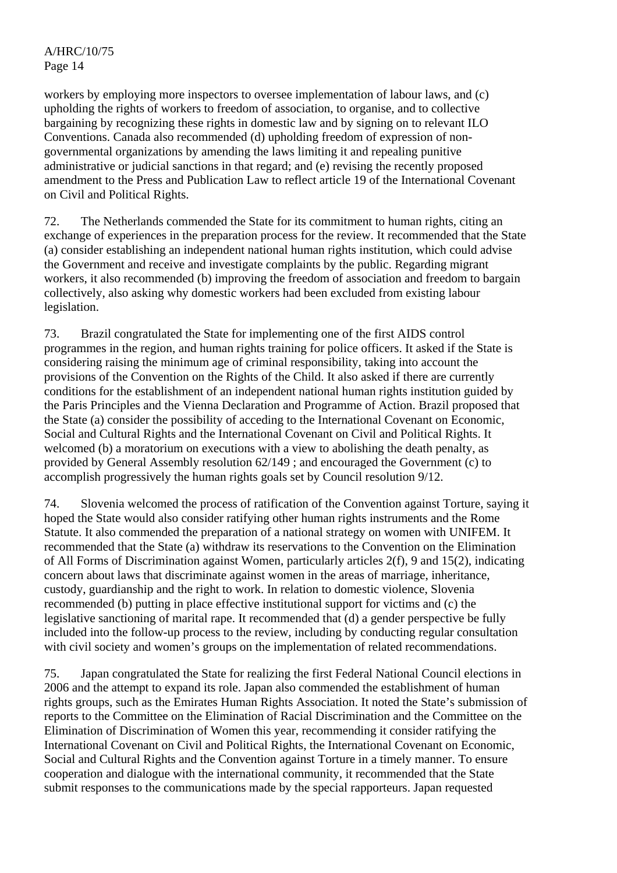workers by employing more inspectors to oversee implementation of labour laws, and (c) upholding the rights of workers to freedom of association, to organise, and to collective bargaining by recognizing these rights in domestic law and by signing on to relevant ILO Conventions. Canada also recommended (d) upholding freedom of expression of nongovernmental organizations by amending the laws limiting it and repealing punitive administrative or judicial sanctions in that regard; and (e) revising the recently proposed amendment to the Press and Publication Law to reflect article 19 of the International Covenant on Civil and Political Rights.

72. The Netherlands commended the State for its commitment to human rights, citing an exchange of experiences in the preparation process for the review. It recommended that the State (a) consider establishing an independent national human rights institution, which could advise the Government and receive and investigate complaints by the public. Regarding migrant workers, it also recommended (b) improving the freedom of association and freedom to bargain collectively, also asking why domestic workers had been excluded from existing labour legislation.

73. Brazil congratulated the State for implementing one of the first AIDS control programmes in the region, and human rights training for police officers. It asked if the State is considering raising the minimum age of criminal responsibility, taking into account the provisions of the Convention on the Rights of the Child. It also asked if there are currently conditions for the establishment of an independent national human rights institution guided by the Paris Principles and the Vienna Declaration and Programme of Action. Brazil proposed that the State (a) consider the possibility of acceding to the International Covenant on Economic, Social and Cultural Rights and the International Covenant on Civil and Political Rights. It welcomed (b) a moratorium on executions with a view to abolishing the death penalty, as provided by General Assembly resolution 62/149 ; and encouraged the Government (c) to accomplish progressively the human rights goals set by Council resolution 9/12.

74. Slovenia welcomed the process of ratification of the Convention against Torture, saying it hoped the State would also consider ratifying other human rights instruments and the Rome Statute. It also commended the preparation of a national strategy on women with UNIFEM. It recommended that the State (a) withdraw its reservations to the Convention on the Elimination of All Forms of Discrimination against Women, particularly articles 2(f), 9 and 15(2), indicating concern about laws that discriminate against women in the areas of marriage, inheritance, custody, guardianship and the right to work. In relation to domestic violence, Slovenia recommended (b) putting in place effective institutional support for victims and (c) the legislative sanctioning of marital rape. It recommended that (d) a gender perspective be fully included into the follow-up process to the review, including by conducting regular consultation with civil society and women's groups on the implementation of related recommendations.

75. Japan congratulated the State for realizing the first Federal National Council elections in 2006 and the attempt to expand its role. Japan also commended the establishment of human rights groups, such as the Emirates Human Rights Association. It noted the State's submission of reports to the Committee on the Elimination of Racial Discrimination and the Committee on the Elimination of Discrimination of Women this year, recommending it consider ratifying the International Covenant on Civil and Political Rights, the International Covenant on Economic, Social and Cultural Rights and the Convention against Torture in a timely manner. To ensure cooperation and dialogue with the international community, it recommended that the State submit responses to the communications made by the special rapporteurs. Japan requested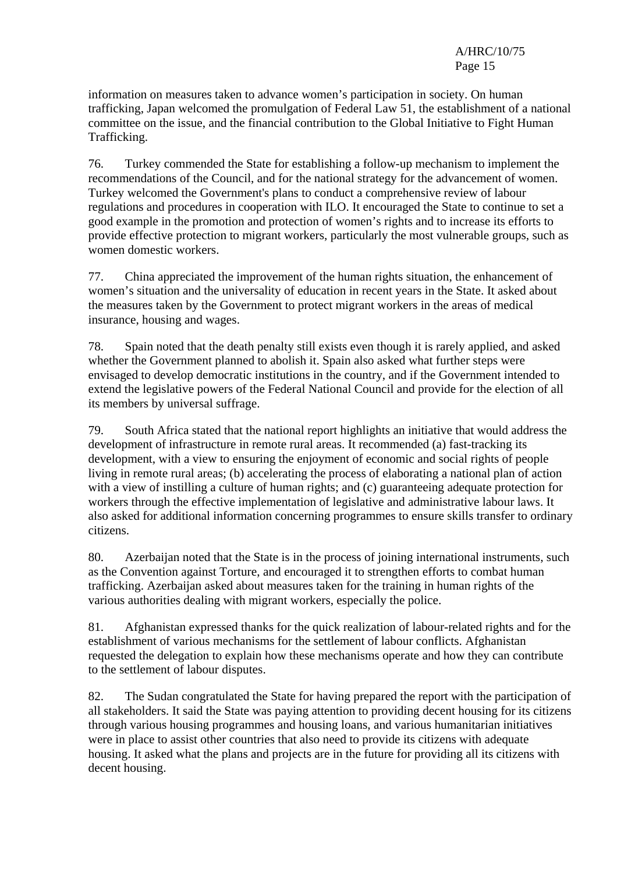information on measures taken to advance women's participation in society. On human trafficking, Japan welcomed the promulgation of Federal Law 51, the establishment of a national committee on the issue, and the financial contribution to the Global Initiative to Fight Human Trafficking.

76. Turkey commended the State for establishing a follow-up mechanism to implement the recommendations of the Council, and for the national strategy for the advancement of women. Turkey welcomed the Government's plans to conduct a comprehensive review of labour regulations and procedures in cooperation with ILO. It encouraged the State to continue to set a good example in the promotion and protection of women's rights and to increase its efforts to provide effective protection to migrant workers, particularly the most vulnerable groups, such as women domestic workers.

77. China appreciated the improvement of the human rights situation, the enhancement of women's situation and the universality of education in recent years in the State. It asked about the measures taken by the Government to protect migrant workers in the areas of medical insurance, housing and wages.

78. Spain noted that the death penalty still exists even though it is rarely applied, and asked whether the Government planned to abolish it. Spain also asked what further steps were envisaged to develop democratic institutions in the country, and if the Government intended to extend the legislative powers of the Federal National Council and provide for the election of all its members by universal suffrage.

79. South Africa stated that the national report highlights an initiative that would address the development of infrastructure in remote rural areas. It recommended (a) fast-tracking its development, with a view to ensuring the enjoyment of economic and social rights of people living in remote rural areas; (b) accelerating the process of elaborating a national plan of action with a view of instilling a culture of human rights; and (c) guaranteeing adequate protection for workers through the effective implementation of legislative and administrative labour laws. It also asked for additional information concerning programmes to ensure skills transfer to ordinary citizens.

80. Azerbaijan noted that the State is in the process of joining international instruments, such as the Convention against Torture, and encouraged it to strengthen efforts to combat human trafficking. Azerbaijan asked about measures taken for the training in human rights of the various authorities dealing with migrant workers, especially the police.

81. Afghanistan expressed thanks for the quick realization of labour-related rights and for the establishment of various mechanisms for the settlement of labour conflicts. Afghanistan requested the delegation to explain how these mechanisms operate and how they can contribute to the settlement of labour disputes.

82. The Sudan congratulated the State for having prepared the report with the participation of all stakeholders. It said the State was paying attention to providing decent housing for its citizens through various housing programmes and housing loans, and various humanitarian initiatives were in place to assist other countries that also need to provide its citizens with adequate housing. It asked what the plans and projects are in the future for providing all its citizens with decent housing.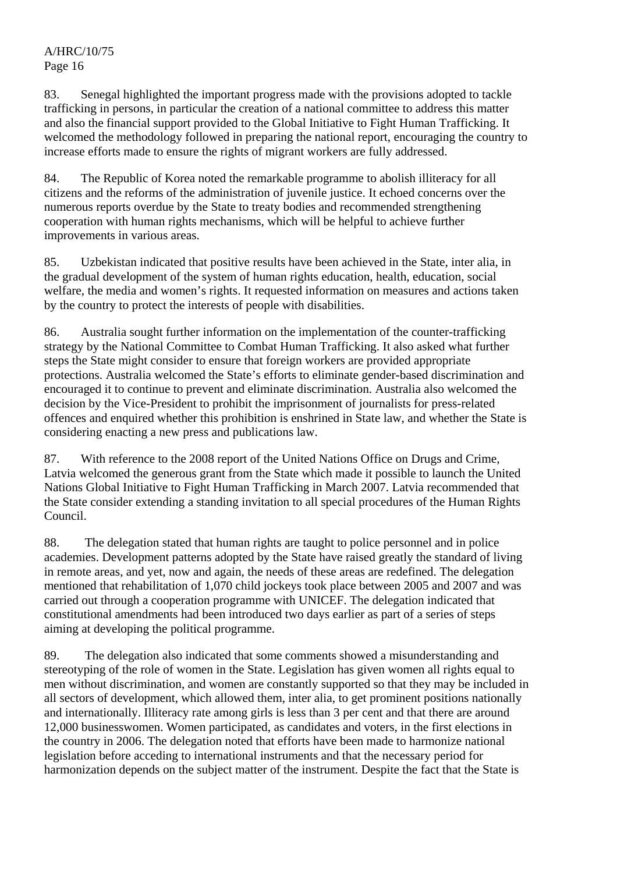83. Senegal highlighted the important progress made with the provisions adopted to tackle trafficking in persons, in particular the creation of a national committee to address this matter and also the financial support provided to the Global Initiative to Fight Human Trafficking. It welcomed the methodology followed in preparing the national report, encouraging the country to increase efforts made to ensure the rights of migrant workers are fully addressed.

84. The Republic of Korea noted the remarkable programme to abolish illiteracy for all citizens and the reforms of the administration of juvenile justice. It echoed concerns over the numerous reports overdue by the State to treaty bodies and recommended strengthening cooperation with human rights mechanisms, which will be helpful to achieve further improvements in various areas.

85. Uzbekistan indicated that positive results have been achieved in the State, inter alia, in the gradual development of the system of human rights education, health, education, social welfare, the media and women's rights. It requested information on measures and actions taken by the country to protect the interests of people with disabilities.

86. Australia sought further information on the implementation of the counter-trafficking strategy by the National Committee to Combat Human Trafficking. It also asked what further steps the State might consider to ensure that foreign workers are provided appropriate protections. Australia welcomed the State's efforts to eliminate gender-based discrimination and encouraged it to continue to prevent and eliminate discrimination. Australia also welcomed the decision by the Vice-President to prohibit the imprisonment of journalists for press-related offences and enquired whether this prohibition is enshrined in State law, and whether the State is considering enacting a new press and publications law.

87. With reference to the 2008 report of the United Nations Office on Drugs and Crime, Latvia welcomed the generous grant from the State which made it possible to launch the United Nations Global Initiative to Fight Human Trafficking in March 2007. Latvia recommended that the State consider extending a standing invitation to all special procedures of the Human Rights Council.

88. The delegation stated that human rights are taught to police personnel and in police academies. Development patterns adopted by the State have raised greatly the standard of living in remote areas, and yet, now and again, the needs of these areas are redefined. The delegation mentioned that rehabilitation of 1,070 child jockeys took place between 2005 and 2007 and was carried out through a cooperation programme with UNICEF. The delegation indicated that constitutional amendments had been introduced two days earlier as part of a series of steps aiming at developing the political programme.

89. The delegation also indicated that some comments showed a misunderstanding and stereotyping of the role of women in the State. Legislation has given women all rights equal to men without discrimination, and women are constantly supported so that they may be included in all sectors of development, which allowed them, inter alia, to get prominent positions nationally and internationally. Illiteracy rate among girls is less than 3 per cent and that there are around 12,000 businesswomen. Women participated, as candidates and voters, in the first elections in the country in 2006. The delegation noted that efforts have been made to harmonize national legislation before acceding to international instruments and that the necessary period for harmonization depends on the subject matter of the instrument. Despite the fact that the State is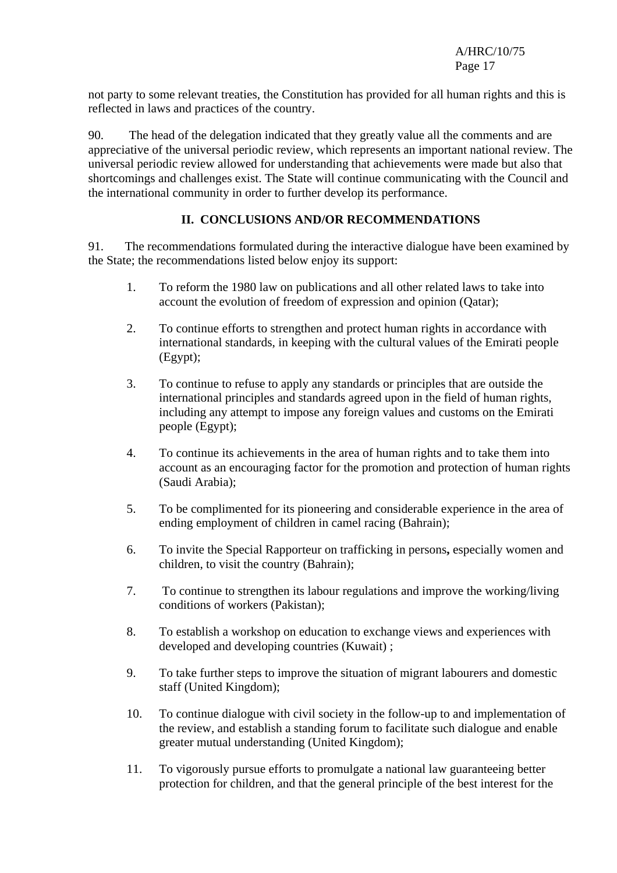A/HRC/10/75 Page 17

not party to some relevant treaties, the Constitution has provided for all human rights and this is reflected in laws and practices of the country.

90. The head of the delegation indicated that they greatly value all the comments and are appreciative of the universal periodic review, which represents an important national review. The universal periodic review allowed for understanding that achievements were made but also that shortcomings and challenges exist. The State will continue communicating with the Council and the international community in order to further develop its performance.

## **II. CONCLUSIONS AND/OR RECOMMENDATIONS**

91. The recommendations formulated during the interactive dialogue have been examined by the State; the recommendations listed below enjoy its support:

- 1. To reform the 1980 law on publications and all other related laws to take into account the evolution of freedom of expression and opinion (Qatar);
- 2. To continue efforts to strengthen and protect human rights in accordance with international standards, in keeping with the cultural values of the Emirati people (Egypt);
- 3. To continue to refuse to apply any standards or principles that are outside the international principles and standards agreed upon in the field of human rights, including any attempt to impose any foreign values and customs on the Emirati people (Egypt);
- 4. To continue its achievements in the area of human rights and to take them into account as an encouraging factor for the promotion and protection of human rights (Saudi Arabia);
- 5. To be complimented for its pioneering and considerable experience in the area of ending employment of children in camel racing (Bahrain);
- 6. To invite the Special Rapporteur on trafficking in persons**,** especially women and children, to visit the country (Bahrain);
- 7. To continue to strengthen its labour regulations and improve the working/living conditions of workers (Pakistan);
- 8. To establish a workshop on education to exchange views and experiences with developed and developing countries (Kuwait) ;
- 9. To take further steps to improve the situation of migrant labourers and domestic staff (United Kingdom);
- 10. To continue dialogue with civil society in the follow-up to and implementation of the review, and establish a standing forum to facilitate such dialogue and enable greater mutual understanding (United Kingdom);
- 11. To vigorously pursue efforts to promulgate a national law guaranteeing better protection for children, and that the general principle of the best interest for the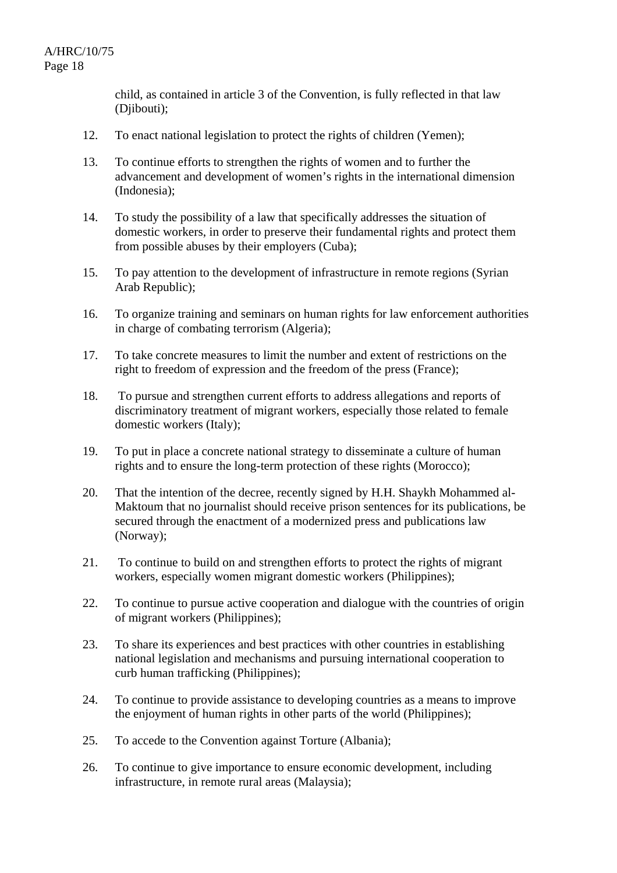child, as contained in article 3 of the Convention, is fully reflected in that law (Djibouti);

- 12. To enact national legislation to protect the rights of children (Yemen);
- 13. To continue efforts to strengthen the rights of women and to further the advancement and development of women's rights in the international dimension (Indonesia);
- 14. To study the possibility of a law that specifically addresses the situation of domestic workers, in order to preserve their fundamental rights and protect them from possible abuses by their employers (Cuba);
- 15. To pay attention to the development of infrastructure in remote regions (Syrian Arab Republic);
- 16. To organize training and seminars on human rights for law enforcement authorities in charge of combating terrorism (Algeria);
- 17. To take concrete measures to limit the number and extent of restrictions on the right to freedom of expression and the freedom of the press (France);
- 18. To pursue and strengthen current efforts to address allegations and reports of discriminatory treatment of migrant workers, especially those related to female domestic workers (Italy);
- 19. To put in place a concrete national strategy to disseminate a culture of human rights and to ensure the long-term protection of these rights (Morocco);
- 20. That the intention of the decree, recently signed by H.H. Shaykh Mohammed al-Maktoum that no journalist should receive prison sentences for its publications, be secured through the enactment of a modernized press and publications law (Norway);
- 21. To continue to build on and strengthen efforts to protect the rights of migrant workers, especially women migrant domestic workers (Philippines);
- 22. To continue to pursue active cooperation and dialogue with the countries of origin of migrant workers (Philippines);
- 23. To share its experiences and best practices with other countries in establishing national legislation and mechanisms and pursuing international cooperation to curb human trafficking (Philippines);
- 24. To continue to provide assistance to developing countries as a means to improve the enjoyment of human rights in other parts of the world (Philippines);
- 25. To accede to the Convention against Torture (Albania);
- 26. To continue to give importance to ensure economic development, including infrastructure, in remote rural areas (Malaysia);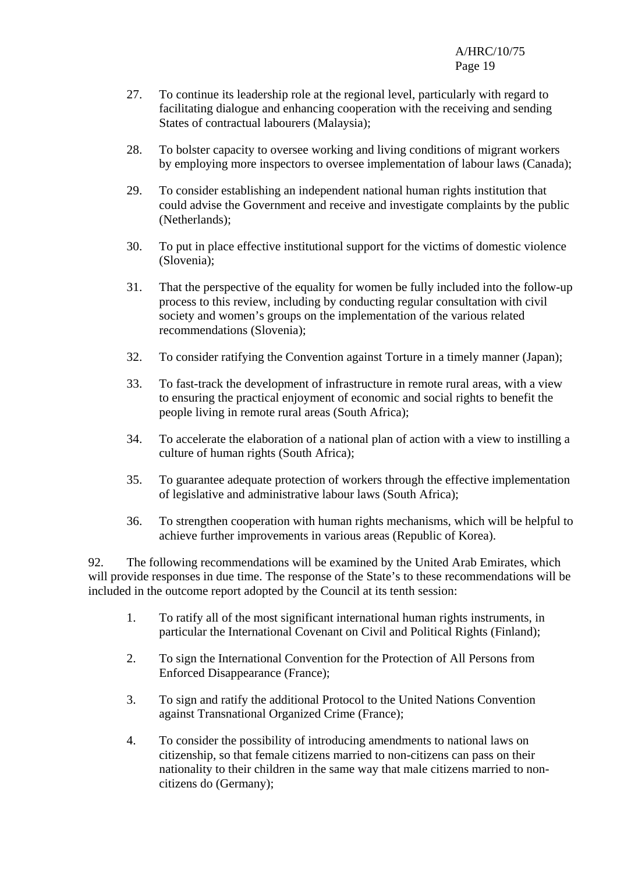- 27. To continue its leadership role at the regional level, particularly with regard to facilitating dialogue and enhancing cooperation with the receiving and sending States of contractual labourers (Malaysia);
- 28. To bolster capacity to oversee working and living conditions of migrant workers by employing more inspectors to oversee implementation of labour laws (Canada);
- 29. To consider establishing an independent national human rights institution that could advise the Government and receive and investigate complaints by the public (Netherlands);
- 30. To put in place effective institutional support for the victims of domestic violence (Slovenia);
- 31. That the perspective of the equality for women be fully included into the follow-up process to this review, including by conducting regular consultation with civil society and women's groups on the implementation of the various related recommendations (Slovenia);
- 32. To consider ratifying the Convention against Torture in a timely manner (Japan);
- 33. To fast-track the development of infrastructure in remote rural areas, with a view to ensuring the practical enjoyment of economic and social rights to benefit the people living in remote rural areas (South Africa);
- 34. To accelerate the elaboration of a national plan of action with a view to instilling a culture of human rights (South Africa);
- 35. To guarantee adequate protection of workers through the effective implementation of legislative and administrative labour laws (South Africa);
- 36. To strengthen cooperation with human rights mechanisms, which will be helpful to achieve further improvements in various areas (Republic of Korea).

92. The following recommendations will be examined by the United Arab Emirates, which will provide responses in due time. The response of the State's to these recommendations will be included in the outcome report adopted by the Council at its tenth session:

- 1. To ratify all of the most significant international human rights instruments, in particular the International Covenant on Civil and Political Rights (Finland);
- 2. To sign the International Convention for the Protection of All Persons from Enforced Disappearance (France);
- 3. To sign and ratify the additional Protocol to the United Nations Convention against Transnational Organized Crime (France);
- 4. To consider the possibility of introducing amendments to national laws on citizenship, so that female citizens married to non-citizens can pass on their nationality to their children in the same way that male citizens married to noncitizens do (Germany);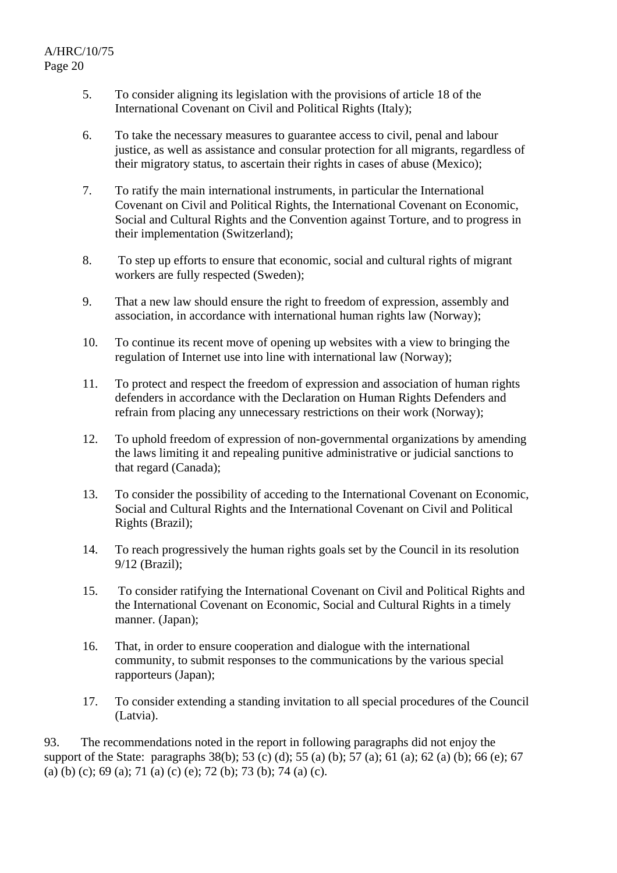- 5. To consider aligning its legislation with the provisions of article 18 of the International Covenant on Civil and Political Rights (Italy);
- 6. To take the necessary measures to guarantee access to civil, penal and labour justice, as well as assistance and consular protection for all migrants, regardless of their migratory status, to ascertain their rights in cases of abuse (Mexico);
- 7. To ratify the main international instruments, in particular the International Covenant on Civil and Political Rights, the International Covenant on Economic, Social and Cultural Rights and the Convention against Torture, and to progress in their implementation (Switzerland);
- 8. To step up efforts to ensure that economic, social and cultural rights of migrant workers are fully respected (Sweden);
- 9. That a new law should ensure the right to freedom of expression, assembly and association, in accordance with international human rights law (Norway);
- 10. To continue its recent move of opening up websites with a view to bringing the regulation of Internet use into line with international law (Norway);
- 11. To protect and respect the freedom of expression and association of human rights defenders in accordance with the Declaration on Human Rights Defenders and refrain from placing any unnecessary restrictions on their work (Norway);
- 12. To uphold freedom of expression of non-governmental organizations by amending the laws limiting it and repealing punitive administrative or judicial sanctions to that regard (Canada);
- 13. To consider the possibility of acceding to the International Covenant on Economic, Social and Cultural Rights and the International Covenant on Civil and Political Rights (Brazil);
- 14. To reach progressively the human rights goals set by the Council in its resolution 9/12 (Brazil);
- 15. To consider ratifying the International Covenant on Civil and Political Rights and the International Covenant on Economic, Social and Cultural Rights in a timely manner. (Japan);
- 16. That, in order to ensure cooperation and dialogue with the international community, to submit responses to the communications by the various special rapporteurs (Japan);
- 17. To consider extending a standing invitation to all special procedures of the Council (Latvia).

93. The recommendations noted in the report in following paragraphs did not enjoy the support of the State: paragraphs 38(b); 53 (c) (d); 55 (a) (b); 57 (a); 61 (a); 62 (a) (b); 66 (e); 67 (a) (b) (c); 69 (a); 71 (a) (c) (e); 72 (b); 73 (b); 74 (a) (c).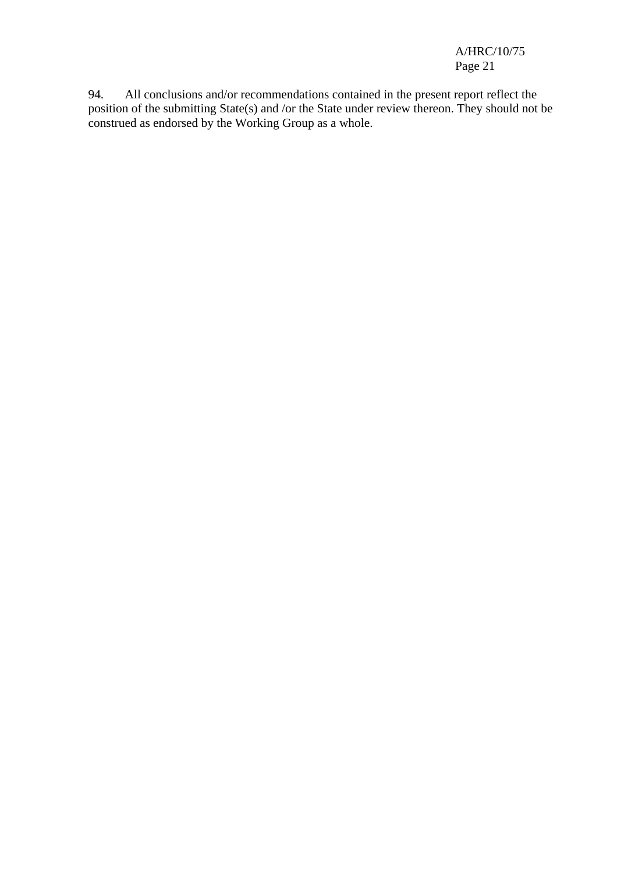A/HRC/10/75 Page 21

94. All conclusions and/or recommendations contained in the present report reflect the position of the submitting State(s) and /or the State under review thereon. They should not be construed as endorsed by the Working Group as a whole.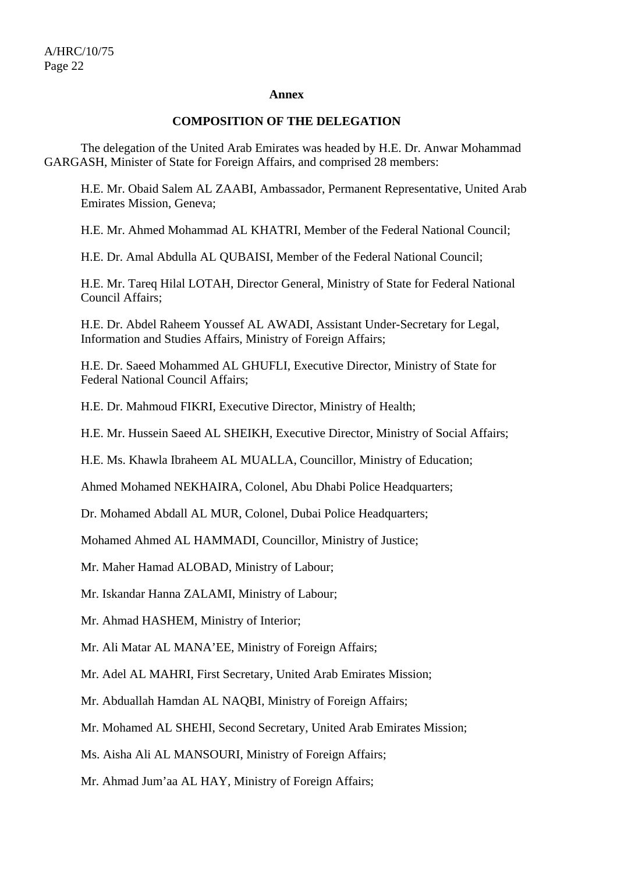#### **Annex**

#### **COMPOSITION OF THE DELEGATION**

 The delegation of the United Arab Emirates was headed by H.E. Dr. Anwar Mohammad GARGASH, Minister of State for Foreign Affairs, and comprised 28 members:

H.E. Mr. Obaid Salem AL ZAABI, Ambassador, Permanent Representative, United Arab Emirates Mission, Geneva;

H.E. Mr. Ahmed Mohammad AL KHATRI, Member of the Federal National Council;

H.E. Dr. Amal Abdulla AL QUBAISI, Member of the Federal National Council;

H.E. Mr. Tareq Hilal LOTAH, Director General, Ministry of State for Federal National Council Affairs;

H.E. Dr. Abdel Raheem Youssef AL AWADI, Assistant Under-Secretary for Legal, Information and Studies Affairs, Ministry of Foreign Affairs;

H.E. Dr. Saeed Mohammed AL GHUFLI, Executive Director, Ministry of State for Federal National Council Affairs;

H.E. Dr. Mahmoud FIKRI, Executive Director, Ministry of Health;

H.E. Mr. Hussein Saeed AL SHEIKH, Executive Director, Ministry of Social Affairs;

H.E. Ms. Khawla Ibraheem AL MUALLA, Councillor, Ministry of Education;

Ahmed Mohamed NEKHAIRA, Colonel, Abu Dhabi Police Headquarters;

Dr. Mohamed Abdall AL MUR, Colonel, Dubai Police Headquarters;

Mohamed Ahmed AL HAMMADI, Councillor, Ministry of Justice;

Mr. Maher Hamad ALOBAD, Ministry of Labour;

Mr. Iskandar Hanna ZALAMI, Ministry of Labour;

Mr. Ahmad HASHEM, Ministry of Interior;

Mr. Ali Matar AL MANA'EE, Ministry of Foreign Affairs;

Mr. Adel AL MAHRI, First Secretary, United Arab Emirates Mission;

Mr. Abduallah Hamdan AL NAQBI, Ministry of Foreign Affairs;

Mr. Mohamed AL SHEHI, Second Secretary, United Arab Emirates Mission;

Ms. Aisha Ali AL MANSOURI, Ministry of Foreign Affairs;

Mr. Ahmad Jum'aa AL HAY, Ministry of Foreign Affairs;